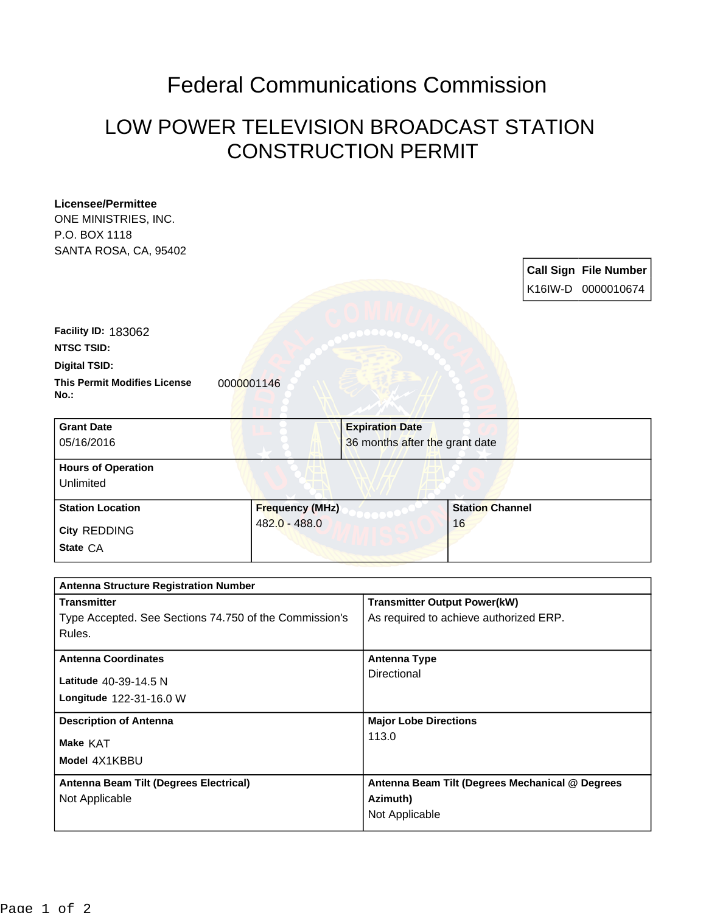## Federal Communications Commission

## LOW POWER TELEVISION BROADCAST STATION CONSTRUCTION PERMIT

| <b>Licensee/Permittee</b>                                        |                        |                                                 |                        |  |                              |
|------------------------------------------------------------------|------------------------|-------------------------------------------------|------------------------|--|------------------------------|
| ONE MINISTRIES, INC.                                             |                        |                                                 |                        |  |                              |
| P.O. BOX 1118                                                    |                        |                                                 |                        |  |                              |
| SANTA ROSA, CA, 95402                                            |                        |                                                 |                        |  |                              |
|                                                                  |                        |                                                 |                        |  | <b>Call Sign File Number</b> |
|                                                                  |                        |                                                 |                        |  | K16IW-D 0000010674           |
|                                                                  |                        |                                                 |                        |  |                              |
| <b>Facility ID: 183062</b>                                       |                        |                                                 |                        |  |                              |
| <b>NTSC TSID:</b>                                                |                        |                                                 |                        |  |                              |
| <b>Digital TSID:</b>                                             |                        |                                                 |                        |  |                              |
| <b>This Permit Modifies License</b><br>No.:                      | 0000001146             |                                                 |                        |  |                              |
| <b>Grant Date</b>                                                |                        | <b>Expiration Date</b>                          |                        |  |                              |
| 05/16/2016                                                       |                        | 36 months after the grant date                  |                        |  |                              |
| <b>Hours of Operation</b><br>Unlimited                           |                        |                                                 |                        |  |                              |
| <b>Station Location</b>                                          | <b>Frequency (MHz)</b> |                                                 | <b>Station Channel</b> |  |                              |
| <b>City REDDING</b>                                              | 482.0 - 488.0          |                                                 | 16                     |  |                              |
| State CA                                                         |                        |                                                 |                        |  |                              |
| <b>Antenna Structure Registration Number</b>                     |                        |                                                 |                        |  |                              |
| <b>Transmitter</b>                                               |                        | <b>Transmitter Output Power(kW)</b>             |                        |  |                              |
| Type Accepted. See Sections 74.750 of the Commission's<br>Rules. |                        | As required to achieve authorized ERP.          |                        |  |                              |
| <b>Antenna Coordinates</b>                                       |                        | <b>Antenna Type</b>                             |                        |  |                              |
| Latitude 40-39-14.5 N                                            |                        | Directional                                     |                        |  |                              |
| Longitude 122-31-16.0 W                                          |                        |                                                 |                        |  |                              |
|                                                                  |                        |                                                 |                        |  |                              |
| <b>Description of Antenna</b>                                    |                        | <b>Major Lobe Directions</b><br>113.0           |                        |  |                              |
| Make KAT                                                         |                        |                                                 |                        |  |                              |
| Model 4X1KBBU                                                    |                        |                                                 |                        |  |                              |
| Antenna Beam Tilt (Degrees Electrical)                           |                        | Antenna Beam Tilt (Degrees Mechanical @ Degrees |                        |  |                              |
| Not Applicable                                                   |                        | Azimuth)                                        |                        |  |                              |
|                                                                  |                        | Not Applicable                                  |                        |  |                              |